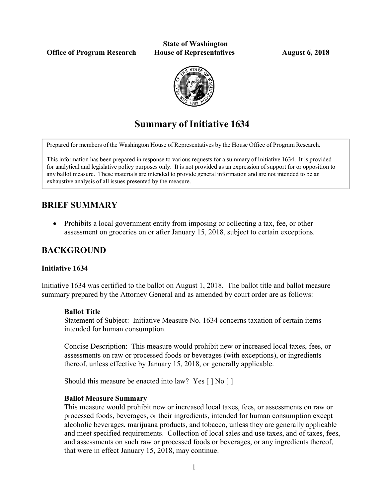Office of Program Research House of Representatives August 6, 2018

# State of Washington



## Summary of Initiative 1634

Prepared for members of the Washington House of Representatives by the House Office of Program Research.

This information has been prepared in response to various requests for a summary of Initiative 1634. It is provided for analytical and legislative policy purposes only. It is not provided as an expression of support for or opposition to any ballot measure. These materials are intended to provide general information and are not intended to be an exhaustive analysis of all issues presented by the measure.

## BRIEF SUMMARY

• Prohibits a local government entity from imposing or collecting a tax, fee, or other assessment on groceries on or after January 15, 2018, subject to certain exceptions.

## BACKGROUND

#### Initiative 1634

Initiative 1634 was certified to the ballot on August 1, 2018. The ballot title and ballot measure summary prepared by the Attorney General and as amended by court order are as follows:

#### Ballot Title

Statement of Subject: Initiative Measure No. 1634 concerns taxation of certain items intended for human consumption.

Concise Description: This measure would prohibit new or increased local taxes, fees, or assessments on raw or processed foods or beverages (with exceptions), or ingredients thereof, unless effective by January 15, 2018, or generally applicable.

Should this measure be enacted into law? Yes [ ] No [ ]

#### Ballot Measure Summary

This measure would prohibit new or increased local taxes, fees, or assessments on raw or processed foods, beverages, or their ingredients, intended for human consumption except alcoholic beverages, marijuana products, and tobacco, unless they are generally applicable and meet specified requirements. Collection of local sales and use taxes, and of taxes, fees, and assessments on such raw or processed foods or beverages, or any ingredients thereof, that were in effect January 15, 2018, may continue.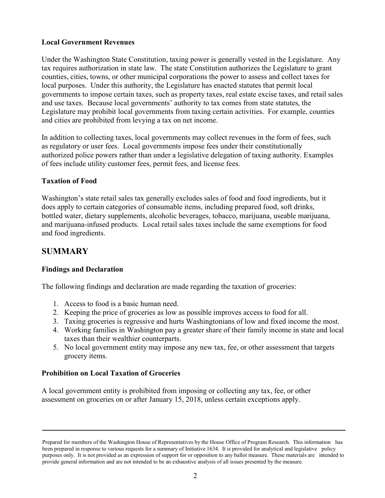#### Local Government Revenues

Under the Washington State Constitution, taxing power is generally vested in the Legislature. Any tax requires authorization in state law. The state Constitution authorizes the Legislature to grant counties, cities, towns, or other municipal corporations the power to assess and collect taxes for local purposes. Under this authority, the Legislature has enacted statutes that permit local governments to impose certain taxes, such as property taxes, real estate excise taxes, and retail sales and use taxes. Because local governments' authority to tax comes from state statutes, the Legislature may prohibit local governments from taxing certain activities. For example, counties and cities are prohibited from levying a tax on net income.

In addition to collecting taxes, local governments may collect revenues in the form of fees, such as regulatory or user fees. Local governments impose fees under their constitutionally authorized police powers rather than under a legislative delegation of taxing authority. Examples of fees include utility customer fees, permit fees, and license fees.

#### Taxation of Food

Washington's state retail sales tax generally excludes sales of food and food ingredients, but it does apply to certain categories of consumable items, including prepared food, soft drinks, bottled water, dietary supplements, alcoholic beverages, tobacco, marijuana, useable marijuana, and marijuana-infused products. Local retail sales taxes include the same exemptions for food and food ingredients.

### **SUMMARY**

#### Findings and Declaration

The following findings and declaration are made regarding the taxation of groceries:

- 1. Access to food is a basic human need.
- 2. Keeping the price of groceries as low as possible improves access to food for all.
- 3. Taxing groceries is regressive and hurts Washingtonians of low and fixed income the most.
- 4. Working families in Washington pay a greater share of their family income in state and local taxes than their wealthier counterparts.
- 5. No local government entity may impose any new tax, fee, or other assessment that targets grocery items.

#### Prohibition on Local Taxation of Groceries

A local government entity is prohibited from imposing or collecting any tax, fee, or other assessment on groceries on or after January 15, 2018, unless certain exceptions apply.

Prepared for members of the Washington House of Representatives by the House Office of Program Research. This information has been prepared in response to various requests for a summary of Initiative 1634. It is provided for analytical and legislative policy purposes only. It is not provided as an expression of support for or opposition to any ballot measure. These materials are intended to provide general information and are not intended to be an exhaustive analysis of all issues presented by the measure.